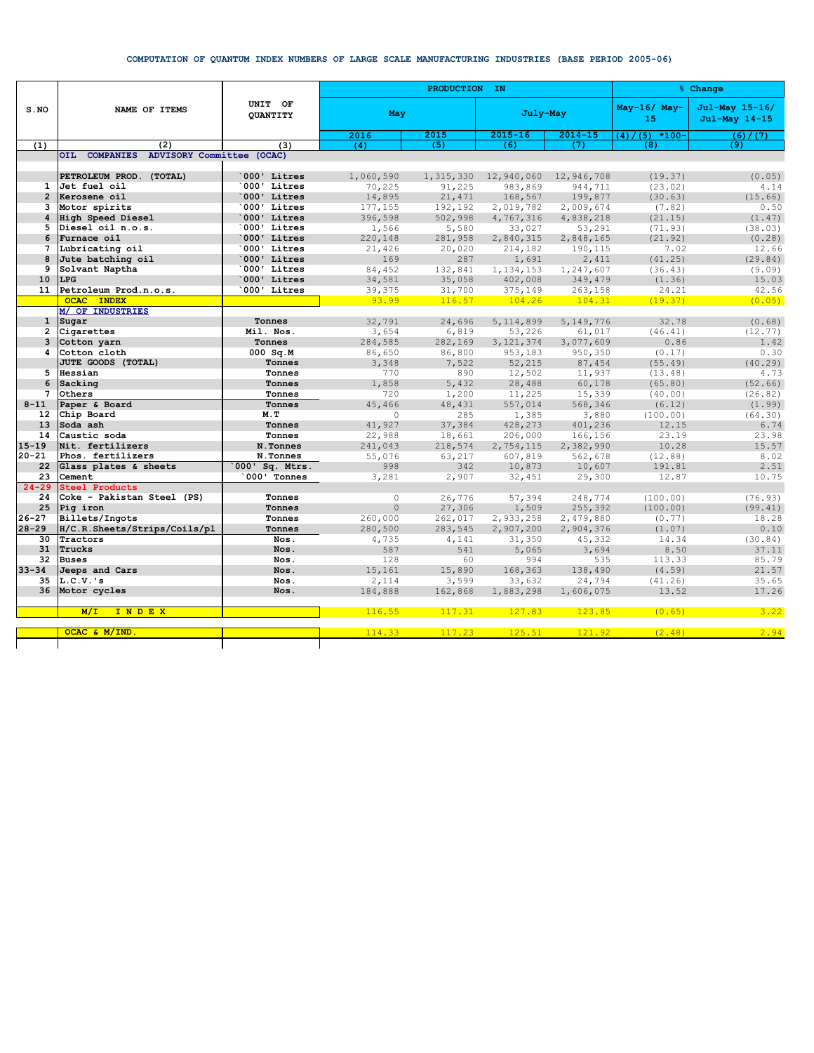## COMPUTATION OF QUANTUM INDEX NUMBERS OF LARGE SCALE MANUFACTURING INDUSTRIES (BASE PERIOD 2005-06)

|                 | NAME OF ITEMS                           | UNIT OF<br><b>OUANTITY</b> |                   | PRODUCTION IN | % Change         |                  |                      |                                 |
|-----------------|-----------------------------------------|----------------------------|-------------------|---------------|------------------|------------------|----------------------|---------------------------------|
| S.NO            |                                         |                            | May               |               | July-May         |                  | $May-16/ May-$<br>15 | Jul-May 15-16/<br>Jul-May 14-15 |
|                 |                                         |                            | 2016              | 2015          | $2015 - 16$      | $2014 - 15$      | $(5)$ *100-<br>(4)   | (6) / (7)                       |
| (1)             | (2)                                     | (3)                        | (4)               | (5)           | (6)              | (7)              | (8)                  | (9)                             |
|                 | OIL COMPANIES ADVISORY Committee (OCAC) |                            |                   |               |                  |                  |                      |                                 |
|                 |                                         |                            |                   |               |                  |                  |                      |                                 |
|                 | PETROLEUM PROD. (TOTAL)                 | 000' Litres                | 1,060,590         | 1,315,330     | 12,940,060       | 12,946,708       | (19.37)              | (0.05)                          |
| $\mathbf{1}$    | Jet fuel oil                            | 000' Litres                | 70,225            | 91,225        | 983,869          | 944,711          | (23.02)              | 4.14                            |
| $\overline{2}$  | Kerosene oil                            | 000' Litres                | 14,895            | 21, 471       | 168,567          | 199,877          | (30.63)              | (15.66)                         |
| 3               | Motor spirits                           | 000' Litres<br>000' Litres | 177,155           | 192,192       | 2,019,782        | 2,009,674        | (7.82)               | 0.50                            |
| 4<br>5          | High Speed Diesel<br>Diesel oil n.o.s.  | 000' Litres                | 396,598           | 502,998       | 4,767,316        | 4,838,218        | (21.15)              | (1.47)                          |
| 6               | Furnace oil                             | 000' Litres                | 1,566             | 5,580         | 33,027           | 53,291           | (71.93)<br>(21.92)   | (38.03)                         |
| 7               | Lubricating oil                         | 000' Litres                | 220,148<br>21,426 | 281,958       | 2,840,315        | 2,848,165        | 7.02                 | (0.28)<br>12.66                 |
| 8               | Jute batching oil                       | 000' Litres                | 169               | 20,020<br>287 | 214,182<br>1,691 | 190,115<br>2,411 | (41.25)              | (29.84)                         |
| 9               | Solvant Naptha                          | 000' Litres                | 84,452            | 132,841       | 1,134,153        | 1,247,607        | (36.43)              | (9.09)                          |
| 10              | <b>LPG</b>                              | 000' Litres                | 34,581            | 35,058        | 402,008          | 349,479          | (1.36)               | 15.03                           |
| 11              | Petroleum Prod.n.o.s.                   | 000' Litres                | 39,375            | 31,700        | 375,149          | 263,158          | 24.21                | 42.56                           |
|                 | <b>OCAC INDEX</b>                       |                            | 93.99             | 116.57        | 104.26           | 104.31           | (19.37)              | (0.05)                          |
|                 | M/ OF INDUSTRIES                        |                            |                   |               |                  |                  |                      |                                 |
| $\mathbf{1}$    | Sugar                                   | Tonnes                     | 32,791            | 24,696        | 5, 114, 899      | 5,149,776        | 32.78                | (0.68)                          |
| $\overline{2}$  | Cigarettes                              | Mil. Nos.                  | 3,654             | 6,819         | 53,226           | 61,017           | (46.41)              | (12.77)                         |
| 3               | Cotton yarn                             | Tonnes                     | 284,585           | 282,169       | 3, 121, 374      | 3,077,609        | 0.86                 | 1.42                            |
| 4               | Cotton cloth                            | $000$ Sq.M                 | 86,650            | 86,800        | 953,183          | 950,350          | (0.17)               | 0.30                            |
|                 | JUTE GOODS (TOTAL)                      | Tonnes                     | 3,348             | 7.522         | 52,215           | 87,454           | (55.49)              | (40.29)                         |
| 5               | Hessian                                 | Tonnes                     | 770               | 890           | 12,502           | 11,937           | (13.48)              | 4.73                            |
| 6               | Sacking                                 | Tonnes                     | 1,858             | 5,432         | 28,488           | 60,178           | (65.80)              | (52.66)                         |
| 7               | Others                                  | Tonnes                     | 720               | 1,200         | 11,225           | 15,339           | (40.00)              | (26.82)                         |
| $8 - 11$        | Paper & Board                           | Tonnes                     | 45,466            | 48,431        | 557,014          | 568,346          | (6.12)               | (1.99)                          |
| 12 <sup>2</sup> | Chip Board                              | M.T                        | $\circ$           | 285           | 1,385            | 3,880            | (100.00)             | (64.30)                         |
| 13              | Soda ash                                | Tonnes                     | 41,927            | 37,384        | 428,273          | 401,236          | 12.15                | 6.74                            |
| 14              | Caustic soda                            | Tonnes                     | 22,988            | 18,661        | 206,000          | 166,156          | 23.19                | 23.98                           |
| $15 - 19$       | Nit. fertilizers                        | N.Tonnes                   | 241,043           | 218,574       | 2,754,115        | 2,382,990        | 10.28                | 15.57                           |
| $20 - 21$       | Phos. fertilizers                       | N.Tonnes                   | 55,076            | 63,217        | 607,819          | 562,678          | (12.88)              | 8.02                            |
| 22              | Glass plates & sheets                   | 000' Sq. Mtrs.             | 998               | 342           | 10,873           | 10,607           | 191.81               | 2.51                            |
| 23              | Cement                                  | 000' Tonnes                | 3,281             | 2,907         | 32,451           | 29,300           | 12.87                | 10.75                           |
| $24 - 29$       | <b>Steel Products</b>                   |                            |                   |               |                  |                  |                      |                                 |
| 24              | Coke - Pakistan Steel (PS)              | Tonnes                     | $\circ$           | 26,776        | 57,394           | 248,774          | (100.00)             | (76.93)                         |
| 25              | Pig iron                                | Tonnes                     | $\mathbf{0}$      | 27,306        | 1,509            | 255,392          | (100.00)             | (99.41)                         |
| $26 - 27$       | Billets/Ingots                          | Tonnes                     | 260,000           | 262,017       | 2,933,258        | 2,479,880        | (0.77)               | 18.28                           |
| $28 - 29$       | H/C.R.Sheets/Strips/Coils/pl            | Tonnes                     | 280,500           | 283,545       | 2,907,200        | 2,904,376        | (1.07)               | 0.10                            |
| 30              | Tractors                                | Nos.                       | 4,735             | 4,141         | 31,350           | 45,332           | 14.34                | (30.84)                         |
| 31              | Trucks                                  | Nos.                       | 587               | 541           | 5,065            | 3,694            | 8.50                 | 37.11                           |
| 32              | <b>Buses</b>                            | Nos.                       | 128               | 60            | 994              | 535              | 113.33               | 85.79                           |
| $33 - 34$       | Jeeps and Cars                          | Nos.                       | 15,161            | 15,890        | 168,363          | 138,490          | (4.59)               | 21.57                           |
| 35              | $L.C.V.$ 's                             | Nos.                       | 2,114             | 3,599         | 33,632           | 24,794           | (41.26)              | 35.65                           |
| 36              | Motor cycles                            | Nos.                       | 184,888           | 162,868       | 1,883,298        | 1,606,075        | 13.52                | 17.26                           |
|                 |                                         |                            |                   |               |                  |                  |                      |                                 |
|                 | INDEX<br>M/L                            |                            | 116.55            | 117.31        | 127.83           | 123.85           | (0.65)               | 3.22                            |
|                 | OCAC & M/IND                            |                            |                   |               |                  |                  |                      | 2.94                            |
|                 |                                         |                            | 114.33            | 117.23        | 125.51           | 121.92           | (2.48)               |                                 |
|                 |                                         |                            |                   |               |                  |                  |                      |                                 |